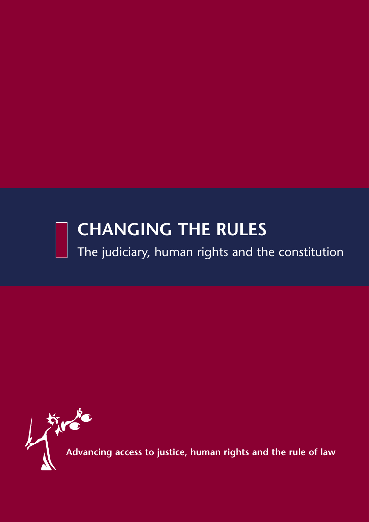# **CHANGING THE RULES**

The judiciary, human rights and the constitution

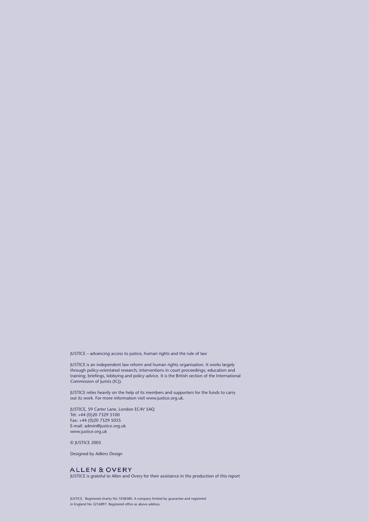JUSTICE – advancing access to justice, human rights and the rule of law

JUSTICE is an independent law reform and human rights organisation. It works largely through policy-orientated research; interventions in court proceedings; education and training; briefings, lobbying and policy advice. It is the British section of the International Commission of Jurists (ICJ).

JUSTICE relies heavily on the help of its members and supporters for the funds to carry out its work. For more information visit www.justice.org.uk.

JUSTICE, 59 Carter Lane, London EC4V 5AQ Tel: +44 (0)20 7329 5100 Fax: +44 (0)20 7329 5055 E-mail: admin@justice.org.uk www.justice.org.uk

#### © JUSTICE 2005

Designed by Adkins Design

#### **ALLEN & OVERY**

JUSTICE is grateful to Allen and Overy for their assistance in the production of this report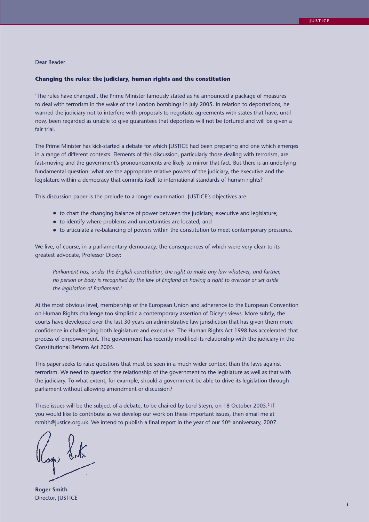#### Dear Reader

#### **Changing the rules: the judiciary, human rights and the constitution**

'The rules have changed', the Prime Minister famously stated as he announced a package of measures to deal with terrorism in the wake of the London bombings in July 2005. In relation to deportations, he warned the judiciary not to interfere with proposals to negotiate agreements with states that have, until now, been regarded as unable to give guarantees that deportees will not be tortured and will be given a fair trial.

The Prime Minister has kick-started a debate for which JUSTICE had been preparing and one which emerges in a range of different contexts. Elements of this discussion, particularly those dealing with terrorism, are fast-moving and the government's pronouncements are likely to mirror that fact. But there is an underlying fundamental question: what are the appropriate relative powers of the judiciary, the executive and the legislature within a democracy that commits itself to international standards of human rights?

This discussion paper is the prelude to a longer examination. JUSTICE's objectives are:

- to chart the changing balance of power between the judiciary, executive and legislature;
- to identify where problems and uncertainties are located; and
- to articulate a re-balancing of powers within the constitution to meet contemporary pressures.

We live, of course, in a parliamentary democracy, the consequences of which were very clear to its greatest advocate, Professor Dicey:

*Parliament has, under the English constitution, the right to make any law whatever, and further, no person or body is recognised by the law of England as having a right to override or set aside the legislation of Parliament.*<sup>1</sup>

At the most obvious level, membership of the European Union and adherence to the European Convention on Human Rights challenge too simplistic a contemporary assertion of Dicey's views. More subtly, the courts have developed over the last 30 years an administrative law jurisdiction that has given them more confidence in challenging both legislature and executive. The Human Rights Act 1998 has accelerated that process of empowerment. The government has recently modified its relationship with the judiciary in the Constitutional Reform Act 2005.

This paper seeks to raise questions that must be seen in a much wider context than the laws against terrorism. We need to question the relationship of the government to the legislature as well as that with the judiciary. To what extent, for example, should a government be able to drive its legislation through parliament without allowing amendment or discussion?

These issues will be the subject of a debate, to be chaired by Lord Steyn, on 18 October 2005.<sup>2</sup> If you would like to contribute as we develop our work on these important issues, then email me at rsmith@justice.org.uk. We intend to publish a final report in the year of our 50<sup>th</sup> anniversary, 2007.

Logo Sut

**Roger Smith** Director, JUSTICE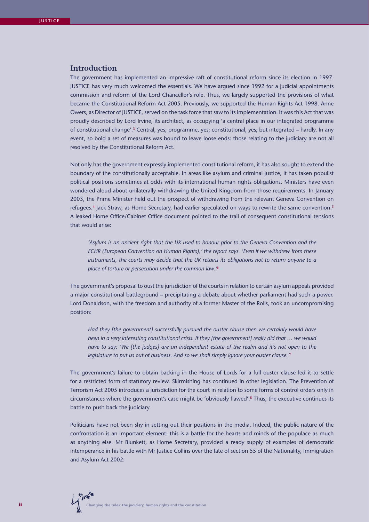### **Introduction**

The government has implemented an impressive raft of constitutional reform since its election in 1997. JUSTICE has very much welcomed the essentials. We have argued since 1992 for a judicial appointments commission and reform of the Lord Chancellor's role. Thus, we largely supported the provisions of what became the Constitutional Reform Act 2005. Previously, we supported the Human Rights Act 1998. Anne Owers, as Director of JUSTICE, served on the task force that saw to its implementation. It was this Act that was proudly described by Lord Irvine, its architect, as occupying 'a central place in our integrated programme of constitutional change'.3 Central, yes; programme, yes; constitutional, yes; but integrated – hardly. In any event, so bold a set of measures was bound to leave loose ends: those relating to the judiciary are not all resolved by the Constitutional Reform Act.

Not only has the government expressly implemented constitutional reform, it has also sought to extend the boundary of the constitutionally acceptable. In areas like asylum and criminal justice, it has taken populist political positions sometimes at odds with its international human rights obligations. Ministers have even wondered aloud about unilaterally withdrawing the United Kingdom from those requirements. In January 2003, the Prime Minister held out the prospect of withdrawing from the relevant Geneva Convention on refugees.<sup>4</sup> Jack Straw, as Home Secretary, had earlier speculated on ways to rewrite the same convention.<sup>5</sup> A leaked Home Office/Cabinet Office document pointed to the trail of consequent constitutional tensions that would arise:

*'Asylum is an ancient right that the UK used to honour prior to the Geneva Convention and the ECHR (European Convention on Human Rights),' the report says. 'Even if we withdrew from these instruments, the courts may decide that the UK retains its obligations not to return anyone to a place of torture or persecution under the common law.'*<sup>6</sup>

The government's proposal to oust the jurisdiction of the courts in relation to certain asylum appeals provided a major constitutional battleground – precipitating a debate about whether parliament had such a power. Lord Donaldson, with the freedom and authority of a former Master of the Rolls, took an uncompromising position:

*Had they [the government] successfully pursued the ouster clause then we certainly would have been in a very interesting constitutional crisis. If they [the government] really did that … we would have to say: 'We [the judges] are an independent estate of the realm and it's not open to the legislature to put us out of business. And so we shall simply ignore your ouster clause.'*<sup>7</sup>

The government's failure to obtain backing in the House of Lords for a full ouster clause led it to settle for a restricted form of statutory review. Skirmishing has continued in other legislation. The Prevention of Terrorism Act 2005 introduces a jurisdiction for the court in relation to some forms of control orders only in circumstances where the government's case might be 'obviously flawed'.8 Thus, the executive continues its battle to push back the judiciary.

Politicians have not been shy in setting out their positions in the media. Indeed, the public nature of the confrontation is an important element: this is a battle for the hearts and minds of the populace as much as anything else. Mr Blunkett, as Home Secretary, provided a ready supply of examples of democratic intemperance in his battle with Mr Justice Collins over the fate of section 55 of the Nationality, Immigration and Asylum Act 2002: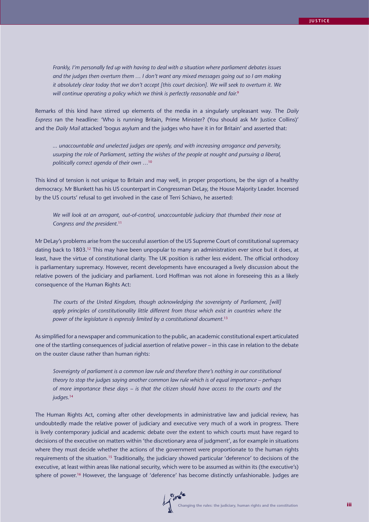*Frankly, I'm personally fed up with having to deal with a situation where parliament debates issues and the judges then overturn them … I don't want any mixed messages going out so I am making it absolutely clear today that we don't accept [this court decision]. We will seek to overturn it. We will continue operating a policy which we think is perfectly reasonable and fair.*<sup>9</sup>

Remarks of this kind have stirred up elements of the media in a singularly unpleasant way. The *Daily Express* ran the headline: 'Who is running Britain, Prime Minister? (You should ask Mr Justice Collins)' and the *Daily Mail* attacked 'bogus asylum and the judges who have it in for Britain' and asserted that:

*... unaccountable and unelected judges are openly, and with increasing arrogance and perversity, usurping the role of Parliament, setting the wishes of the people at nought and pursuing a liberal, politically correct agenda of their own …*<sup>10</sup>

This kind of tension is not unique to Britain and may well, in proper proportions, be the sign of a healthy democracy. Mr Blunkett has his US counterpart in Congressman DeLay, the House Majority Leader. Incensed by the US courts' refusal to get involved in the case of Terri Schiavo, he asserted:

*We will look at an arrogant, out-of-control, unaccountable judiciary that thumbed their nose at Congress and the president.*<sup>11</sup>

Mr DeLay's problems arise from the successful assertion of the US Supreme Court of constitutional supremacy dating back to 1803.12 This may have been unpopular to many an administration ever since but it does, at least, have the virtue of constitutional clarity. The UK position is rather less evident. The official orthodoxy is parliamentary supremacy. However, recent developments have encouraged a lively discussion about the relative powers of the judiciary and parliament. Lord Hoffman was not alone in foreseeing this as a likely consequence of the Human Rights Act:

*The courts of the United Kingdom, though acknowledging the sovereignty of Parliament, [will] apply principles of constitutionality little different from those which exist in countries where the power of the legislature is expressly limited by a constitutional document.*<sup>13</sup>

As simplified for a newspaper and communication to the public, an academic constitutional expert articulated one of the startling consequences of judicial assertion of relative power – in this case in relation to the debate on the ouster clause rather than human rights:

*Sovereignty of parliament is a common law rule and therefore there's nothing in our constitutional theory to stop the judges saying another common law rule which is of equal importance – perhaps of more importance these days – is that the citizen should have access to the courts and the judges.*<sup>14</sup>

The Human Rights Act, coming after other developments in administrative law and judicial review, has undoubtedly made the relative power of judiciary and executive very much of a work in progress. There is lively contemporary judicial and academic debate over the extent to which courts must have regard to decisions of the executive on matters within 'the discretionary area of judgment', as for example in situations where they must decide whether the actions of the government were proportionate to the human rights requirements of the situation.15 Traditionally, the judiciary showed particular 'deference' to decisions of the executive, at least within areas like national security, which were to be assumed as within its (the executive's) sphere of power.<sup>16</sup> However, the language of 'deference' has become distinctly unfashionable. Judges are

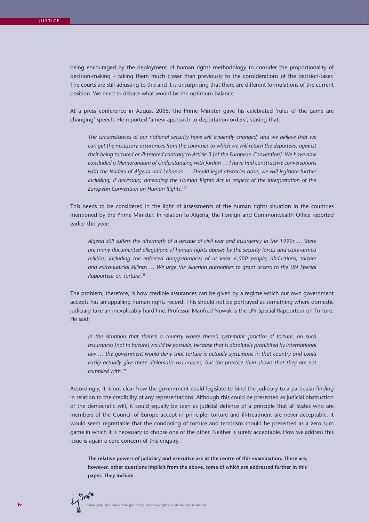being encouraged by the deployment of human rights methodology to consider the proportionality of decision-making – taking them much closer than previously to the considerations of the decision-taker. The courts are still adjusting to this and it is unsurprising that there are different formulations of the current position. We need to debate what would be the optimum balance.

At a press conference in August 2005, the Prime Minister gave his celebrated 'rules of the game are changing' speech. He reported 'a new approach to deportation orders', stating that:

*The circumstances of our national security have self evidently changed, and we believe that we can get the necessary assurances from the countries to which we will return the deportees, against their being tortured or ill-treated contrary to Article 3 [of the European Convention]. We have now concluded a Memorandum of Understanding with Jordan … I have had constructive conversations with the leaders of Algeria and Lebanon … Should legal obstacles arise, we will legislate further including, if necessary, amending the Human Rights Act in respect of the interpretation of the European Convention on Human Rights.*<sup>17</sup>

This needs to be considered in the light of assessments of the human rights situation in the countries mentioned by the Prime Minister. In relation to Algeria, the Foreign and Commonwealth Office reported earlier this year:

*Algeria still suffers the aftermath of a decade of civil war and insurgency in the 1990s … there are many documented allegations of human rights abuses by the security forces and state-armed militias, including the enforced disappearances of at least 6,000 people, abductions, torture and extra-judicial killings … We urge the Algerian authorities to grant access to the UN Special Rapporteur on Torture.*<sup>18</sup>

The problem, therefore, is how credible assurances can be given by a regime which our own government accepts has an appalling human rights record. This should not be portrayed as something where domestic judiciary take an inexplicably hard line. Professor Manfred Nowak is the UN Special Rapporteur on Torture. He said:

*In the situation that there's a country where there's systematic practice of torture, no such assurances [not to torture] would be possible, because that is absolutely prohibited by international*  law ... the government would deny that torture is actually systematic in that country and could easily actually give these diplomatic assurances, but the practice then shows that they are not *complied with.*<sup>19</sup>

Accordingly, it is not clear how the government could legislate to bind the judiciary to a particular finding in relation to the credibility of any representations. Although this could be presented as judicial obstruction of the democratic will, it could equally be seen as judicial defence of a principle that all states who are members of the Council of Europe accept in principle: torture and ill-treatment are never acceptable. It would seem regrettable that the condoning of torture and terrorism should be presented as a zero sum game in which it is necessary to choose one or the other. Neither is surely acceptable. How we address this issue is again a core concern of this enquiry.

**The relative powers of judiciary and executive are at the centre of this examination. There are, however, other questions implicit from the above, some of which are addressed further in this paper. They include:**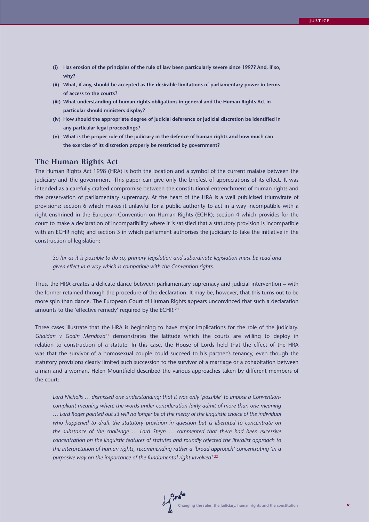- **(i) Has erosion of the principles of the rule of law been particularly severe since 1997? And, if so, why?**
- **(ii) What, if any, should be accepted as the desirable limitations of parliamentary power in terms of access to the courts?**
- **(iii) What understanding of human rights obligations in general and the Human Rights Act in particular should ministers display?**
- **(iv) How should the appropriate degree of judicial deference or judicial discretion be identified in any particular legal proceedings?**
- **(v) What is the proper role of the judiciary in the defence of human rights and how much can the exercise of its discretion properly be restricted by government?**

## **The Human Rights Act**

The Human Rights Act 1998 (HRA) is both the location and a symbol of the current malaise between the judiciary and the government. This paper can give only the briefest of appreciations of its effect. It was intended as a carefully crafted compromise between the constitutional entrenchment of human rights and the preservation of parliamentary supremacy. At the heart of the HRA is a well publicised triumvirate of provisions: section 6 which makes it unlawful for a public authority to act in a way incompatible with a right enshrined in the European Convention on Human Rights (ECHR); section 4 which provides for the court to make a declaration of incompatibility where it is satisfied that a statutory provision is incompatible with an ECHR right; and section 3 in which parliament authorises the judiciary to take the initiative in the construction of legislation:

*So far as it is possible to do so, primary legislation and subordinate legislation must be read and given effect in a way which is compatible with the Convention rights.*

Thus, the HRA creates a delicate dance between parliamentary supremacy and judicial intervention – with the former retained through the procedure of the declaration. It may be, however, that this turns out to be more spin than dance. The European Court of Human Rights appears unconvinced that such a declaration amounts to the 'effective remedy' required by the ECHR.<sup>20</sup>

Three cases illustrate that the HRA is beginning to have major implications for the role of the judiciary. *Ghaidan v Godin Mendoza*21 demonstrates the latitude which the courts are willing to deploy in relation to construction of a statute. In this case, the House of Lords held that the effect of the HRA was that the survivor of a homosexual couple could succeed to his partner's tenancy, even though the statutory provisions clearly limited such succession to the survivor of a marriage or a cohabitation between a man and a woman. Helen Mountfield described the various approaches taken by different members of the court:

*Lord Nicholls … dismissed one understanding: that it was only 'possible' to impose a Conventioncompliant meaning where the words under consideration fairly admit of more than one meaning … Lord Roger pointed out s3 will no longer be at the mercy of the linguistic choice of the individual who happened to draft the statutory provision in question but is liberated to concentrate on the substance of the challenge … Lord Steyn … commented that there had been excessive concentration on the linguistic features of statutes and roundly rejected the literalist approach to the interpretation of human rights, recommending rather a 'broad approach' concentrating 'in a purposive way on the importance of the fundamental right involved'.*22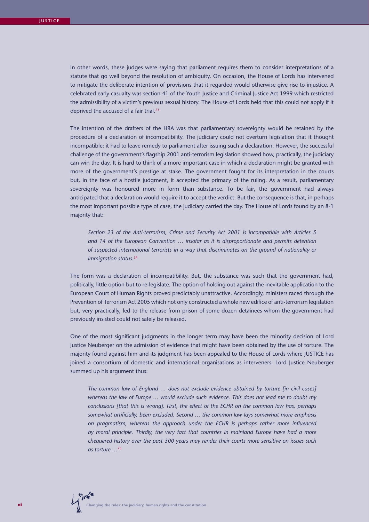In other words, these judges were saying that parliament requires them to consider interpretations of a statute that go well beyond the resolution of ambiguity. On occasion, the House of Lords has intervened to mitigate the deliberate intention of provisions that it regarded would otherwise give rise to injustice. A celebrated early casualty was section 41 of the Youth Justice and Criminal Justice Act 1999 which restricted the admissibility of a victim's previous sexual history. The House of Lords held that this could not apply if it deprived the accused of a fair trial.<sup>23</sup>

The intention of the drafters of the HRA was that parliamentary sovereignty would be retained by the procedure of a declaration of incompatibility. The judiciary could not overturn legislation that it thought incompatible: it had to leave remedy to parliament after issuing such a declaration. However, the successful challenge of the government's flagship 2001 anti-terrorism legislation showed how, practically, the judiciary can win the day. It is hard to think of a more important case in which a declaration might be granted with more of the government's prestige at stake. The government fought for its interpretation in the courts but, in the face of a hostile judgment, it accepted the primacy of the ruling. As a result, parliamentary sovereignty was honoured more in form than substance. To be fair, the government had always anticipated that a declaration would require it to accept the verdict. But the consequence is that, in perhaps the most important possible type of case, the judiciary carried the day. The House of Lords found by an 8-1 majority that:

*Section 23 of the Anti-terrorism, Crime and Security Act 2001 is incompatible with Articles 5 and 14 of the European Convention … insofar as it is disproportionate and permits detention of suspected international terrorists in a way that discriminates on the ground of nationality or immigration status.*<sup>24</sup>

The form was a declaration of incompatibility. But, the substance was such that the government had, politically, little option but to re-legislate. The option of holding out against the inevitable application to the European Court of Human Rights proved predictably unattractive. Accordingly, ministers raced through the Prevention of Terrorism Act 2005 which not only constructed a whole new edifice of anti-terrorism legislation but, very practically, led to the release from prison of some dozen detainees whom the government had previously insisted could not safely be released.

One of the most significant judgments in the longer term may have been the minority decision of Lord Justice Neuberger on the admission of evidence that might have been obtained by the use of torture. The majority found against him and its judgment has been appealed to the House of Lords where JUSTICE has joined a consortium of domestic and international organisations as interveners. Lord Justice Neuberger summed up his argument thus:

*The common law of England … does not exclude evidence obtained by torture [in civil cases] whereas the law of Europe … would exclude such evidence. This does not lead me to doubt my conclusions [that this is wrong]. First, the effect of the ECHR on the common law has, perhaps somewhat artificially, been excluded. Second … the common law lays somewhat more emphasis on pragmatism, whereas the approach under the ECHR is perhaps rather more influenced by moral principle. Thirdly, the very fact that countries in mainland Europe have had a more chequered history over the past 300 years may render their courts more sensitive on issues such as torture …*25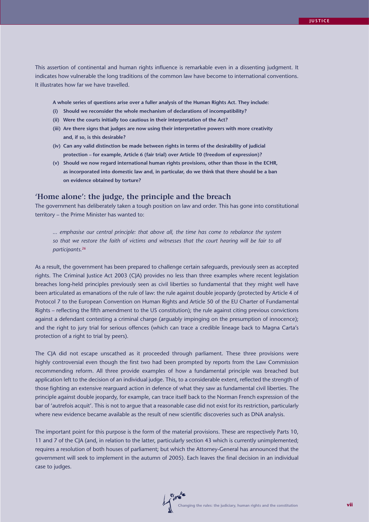This assertion of continental and human rights influence is remarkable even in a dissenting judgment. It indicates how vulnerable the long traditions of the common law have become to international conventions. It illustrates how far we have travelled.

**A whole series of questions arise over a fuller analysis of the Human Rights Act. They include:**

- **(i) Should we reconsider the whole mechanism of declarations of incompatibility?**
- **(ii) Were the courts initially too cautious in their interpretation of the Act?**
- **(iii) Are there signs that judges are now using their interpretative powers with more creativity and, if so, is this desirable?**
- **(iv) Can any valid distinction be made between rights in terms of the desirability of judicial protection – for example, Article 6 (fair trial) over Article 10 (freedom of expression)?**
- **(v) Should we now regard international human rights provisions, other than those in the ECHR, as incorporated into domestic law and, in particular, do we think that there should be a ban on evidence obtained by torture?**

## **'Home alone': the judge, the principle and the breach**

The government has deliberately taken a tough position on law and order. This has gone into constitutional territory – the Prime Minister has wanted to:

*... emphasise our central principle: that above all, the time has come to rebalance the system so that we restore the faith of victims and witnesses that the court hearing will be fair to all participants.*<sup>26</sup>

As a result, the government has been prepared to challenge certain safeguards, previously seen as accepted rights. The Criminal Justice Act 2003 (CJA) provides no less than three examples where recent legislation breaches long-held principles previously seen as civil liberties so fundamental that they might well have been articulated as emanations of the rule of law: the rule against double jeopardy (protected by Article 4 of Protocol 7 to the European Convention on Human Rights and Article 50 of the EU Charter of Fundamental Rights – reflecting the fifth amendment to the US constitution); the rule against citing previous convictions against a defendant contesting a criminal charge (arguably impinging on the presumption of innocence); and the right to jury trial for serious offences (which can trace a credible lineage back to Magna Carta's protection of a right to trial by peers).

The CJA did not escape unscathed as it proceeded through parliament. These three provisions were highly controversial even though the first two had been prompted by reports from the Law Commission recommending reform. All three provide examples of how a fundamental principle was breached but application left to the decision of an individual judge. This, to a considerable extent, reflected the strength of those fighting an extensive rearguard action in defence of what they saw as fundamental civil liberties. The principle against double jeopardy, for example, can trace itself back to the Norman French expression of the bar of 'autrefois acquit'. This is not to argue that a reasonable case did not exist for its restriction, particularly where new evidence became available as the result of new scientific discoveries such as DNA analysis.

The important point for this purpose is the form of the material provisions. These are respectively Parts 10, 11 and 7 of the CJA (and, in relation to the latter, particularly section 43 which is currently unimplemented; requires a resolution of both houses of parliament; but which the Attorney-General has announced that the government will seek to implement in the autumn of 2005). Each leaves the final decision in an individual case to judges.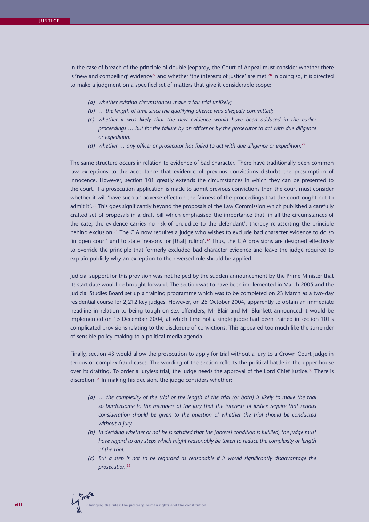In the case of breach of the principle of double jeopardy, the Court of Appeal must consider whether there is 'new and compelling' evidence<sup>27</sup> and whether 'the interests of justice' are met.<sup>28</sup> In doing so, it is directed to make a judgment on a specified set of matters that give it considerable scope:

- *(a) whether existing circumstances make a fair trial unlikely;*
- *(b) … the length of time since the qualifying offence was allegedly committed;*
- *(c) whether it was likely that the new evidence would have been adduced in the earlier proceedings … but for the failure by an officer or by the prosecutor to act with due diligence or expedition;*
- *(d) whether … any officer or prosecutor has failed to act with due diligence or expedition.*<sup>29</sup>

The same structure occurs in relation to evidence of bad character. There have traditionally been common law exceptions to the acceptance that evidence of previous convictions disturbs the presumption of innocence. However, section 101 greatly extends the circumstances in which they can be presented to the court. If a prosecution application is made to admit previous convictions then the court must consider whether it will 'have such an adverse effect on the fairness of the proceedings that the court ought not to admit it'.<sup>30</sup> This goes significantly beyond the proposals of the Law Commission which published a carefully crafted set of proposals in a draft bill which emphasised the importance that 'in all the circumstances of the case, the evidence carries no risk of prejudice to the defendant', thereby re-asserting the principle behind exclusion.<sup>31</sup> The CJA now requires a judge who wishes to exclude bad character evidence to do so 'in open court' and to state 'reasons for [that] ruling'.32 Thus, the CJA provisions are designed effectively to override the principle that formerly excluded bad character evidence and leave the judge required to explain publicly why an exception to the reversed rule should be applied.

Judicial support for this provision was not helped by the sudden announcement by the Prime Minister that its start date would be brought forward. The section was to have been implemented in March 2005 and the Judicial Studies Board set up a training programme which was to be completed on 23 March as a two-day residential course for 2,212 key judges. However, on 25 October 2004, apparently to obtain an immediate headline in relation to being tough on sex offenders, Mr Blair and Mr Blunkett announced it would be implemented on 15 December 2004, at which time not a single judge had been trained in section 101's complicated provisions relating to the disclosure of convictions. This appeared too much like the surrender of sensible policy-making to a political media agenda.

Finally, section 43 would allow the prosecution to apply for trial without a jury to a Crown Court judge in serious or complex fraud cases. The wording of the section reflects the political battle in the upper house over its drafting. To order a juryless trial, the judge needs the approval of the Lord Chief Justice.<sup>33</sup> There is discretion.34 In making his decision, the judge considers whether:

- *(a) … the complexity of the trial or the length of the trial (or both) is likely to make the trial so burdensome to the members of the jury that the interests of justice require that serious consideration should be given to the question of whether the trial should be conducted without a jury.*
- *(b) In deciding whether or not he is satisfied that the [above] condition is fulfilled, the judge must have regard to any steps which might reasonably be taken to reduce the complexity or length of the trial.*
- *(c) But a step is not to be regarded as reasonable if it would significantly disadvantage the prosecution.*35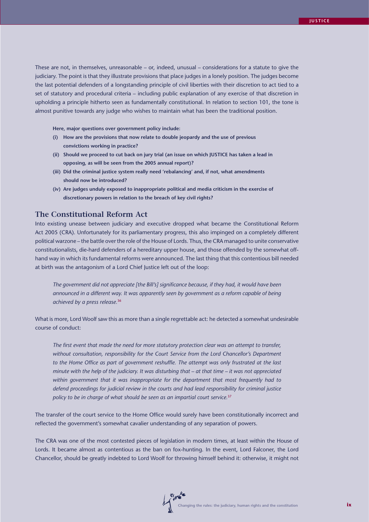These are not, in themselves, unreasonable – or, indeed, unusual – considerations for a statute to give the judiciary. The point is that they illustrate provisions that place judges in a lonely position. The judges become the last potential defenders of a longstanding principle of civil liberties with their discretion to act tied to a set of statutory and procedural criteria – including public explanation of any exercise of that discretion in upholding a principle hitherto seen as fundamentally constitutional. In relation to section 101, the tone is almost punitive towards any judge who wishes to maintain what has been the traditional position.

**Here, major questions over government policy include:**

- **(i) How are the provisions that now relate to double jeopardy and the use of previous convictions working in practice?**
- **(ii) Should we proceed to cut back on jury trial (an issue on which JUSTICE has taken a lead in opposing, as will be seen from the 2005 annual report)?**
- **(iii) Did the criminal justice system really need 'rebalancing' and, if not, what amendments should now be introduced?**
- **(iv) Are judges unduly exposed to inappropriate political and media criticism in the exercise of discretionary powers in relation to the breach of key civil rights?**

## **The Constitutional Reform Act**

Into existing unease between judiciary and executive dropped what became the Constitutional Reform Act 2005 (CRA). Unfortunately for its parliamentary progress, this also impinged on a completely different political warzone – the battle over the role of the House of Lords. Thus, the CRA managed to unite conservative constitutionalists, die-hard defenders of a hereditary upper house, and those offended by the somewhat offhand way in which its fundamental reforms were announced. The last thing that this contentious bill needed at birth was the antagonism of a Lord Chief Justice left out of the loop:

*The government did not appreciate [the Bill's] significance because, if they had, it would have been*  announced in a different way. It was apparently seen by government as a reform capable of being *achieved by a press release.*<sup>36</sup>

What is more, Lord Woolf saw this as more than a single regrettable act: he detected a somewhat undesirable course of conduct:

*The first event that made the need for more statutory protection clear was an attempt to transfer, without consultation, responsibility for the Court Service from the Lord Chancellor's Department*  to the Home Office as part of government reshuffle. The attempt was only frustrated at the last *minute with the help of the judiciary. It was disturbing that – at that time – it was not appreciated*  within government that it was inappropriate for the department that most frequently had to *defend proceedings for judicial review in the courts and had lead responsibility for criminal justice policy to be in charge of what should be seen as an impartial court service.*<sup>37</sup>

The transfer of the court service to the Home Office would surely have been constitutionally incorrect and reflected the government's somewhat cavalier understanding of any separation of powers.

The CRA was one of the most contested pieces of legislation in modern times, at least within the House of Lords. It became almost as contentious as the ban on fox-hunting. In the event, Lord Falconer, the Lord Chancellor, should be greatly indebted to Lord Woolf for throwing himself behind it: otherwise, it might not

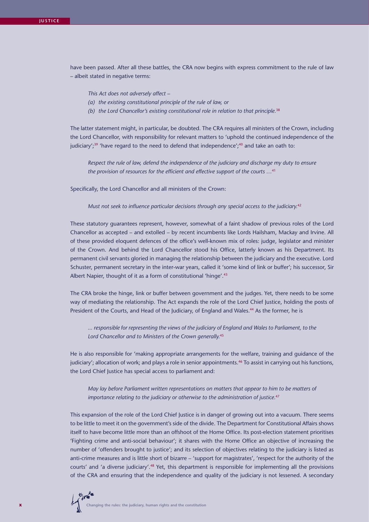have been passed. After all these battles, the CRA now begins with express commitment to the rule of law – albeit stated in negative terms:

*This Act does not adversely affect –*

- *(a) the existing constitutional principle of the rule of law, or*
- *(b) the Lord Chancellor's existing constitutional role in relation to that principle.*<sup>38</sup>

The latter statement might, in particular, be doubted. The CRA requires all ministers of the Crown, including the Lord Chancellor, with responsibility for relevant matters to 'uphold the continued independence of the judiciary';<sup>39</sup> 'have regard to the need to defend that independence';<sup>40</sup> and take an oath to:

*Respect the rule of law, defend the independence of the judiciary and discharge my duty to ensure the provision of resources for the efficient and effective support of the courts …*<sup>41</sup>

Specifically, the Lord Chancellor and all ministers of the Crown:

*Must not seek to influence particular decisions through any special access to the judiciary.*<sup>42</sup>

These statutory guarantees represent, however, somewhat of a faint shadow of previous roles of the Lord Chancellor as accepted – and extolled – by recent incumbents like Lords Hailsham, Mackay and Irvine. All of these provided eloquent defences of the office's well-known mix of roles: judge, legislator and minister of the Crown. And behind the Lord Chancellor stood his Office, latterly known as his Department. Its permanent civil servants gloried in managing the relationship between the judiciary and the executive. Lord Schuster, permanent secretary in the inter-war years, called it 'some kind of link or buffer'; his successor, Sir Albert Napier, thought of it as a form of constitutional 'hinge'.<sup>43</sup>

The CRA broke the hinge, link or buffer between government and the judges. Yet, there needs to be some way of mediating the relationship. The Act expands the role of the Lord Chief Justice, holding the posts of President of the Courts, and Head of the Judiciary, of England and Wales.<sup>44</sup> As the former, he is

*... responsible for representing the views of the judiciary of England and Wales to Parliament, to the Lord Chancellor and to Ministers of the Crown generally.*<sup>45</sup>

He is also responsible for 'making appropriate arrangements for the welfare, training and guidance of the judiciary'; allocation of work; and plays a role in senior appointments.<sup>46</sup> To assist in carrying out his functions, the Lord Chief Justice has special access to parliament and:

*May lay before Parliament written representations on matters that appear to him to be matters of importance relating to the judiciary or otherwise to the administration of justice.*<sup>47</sup>

This expansion of the role of the Lord Chief Justice is in danger of growing out into a vacuum. There seems to be little to meet it on the government's side of the divide. The Department for Constitutional Affairs shows itself to have become little more than an offshoot of the Home Office. Its post-election statement prioritises 'Fighting crime and anti-social behaviour'; it shares with the Home Office an objective of increasing the number of 'offenders brought to justice'; and its selection of objectives relating to the judiciary is listed as anti-crime measures and is little short of bizarre – 'support for magistrates', 'respect for the authority of the courts' and 'a diverse judiciary'.48 Yet, this department is responsible for implementing all the provisions of the CRA and ensuring that the independence and quality of the judiciary is not lessened. A secondary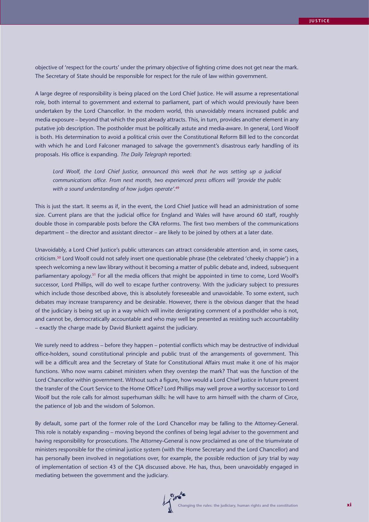objective of 'respect for the courts' under the primary objective of fighting crime does not get near the mark. The Secretary of State should be responsible for respect for the rule of law within government.

A large degree of responsibility is being placed on the Lord Chief Justice. He will assume a representational role, both internal to government and external to parliament, part of which would previously have been undertaken by the Lord Chancellor. In the modern world, this unavoidably means increased public and media exposure – beyond that which the post already attracts. This, in turn, provides another element in any putative job description. The postholder must be politically astute and media-aware. In general, Lord Woolf is both. His determination to avoid a political crisis over the Constitutional Reform Bill led to the concordat with which he and Lord Falconer managed to salvage the government's disastrous early handling of its proposals. His office is expanding. *The Daily Telegraph* reported:

Lord Woolf, the Lord Chief Justice, announced this week that he was setting up a judicial *communications office. From next month, two experienced press officers will 'provide the public with a sound understanding of how judges operate'.*<sup>49</sup>

This is just the start. It seems as if, in the event, the Lord Chief Justice will head an administration of some size. Current plans are that the judicial office for England and Wales will have around 60 staff, roughly double those in comparable posts before the CRA reforms. The first two members of the communications department – the director and assistant director – are likely to be joined by others at a later date.

Unavoidably, a Lord Chief Justice's public utterances can attract considerable attention and, in some cases, criticism.50 Lord Woolf could not safely insert one questionable phrase (the celebrated 'cheeky chappie') in a speech welcoming a new law library without it becoming a matter of public debate and, indeed, subsequent parliamentary apology.<sup>51</sup> For all the media officers that might be appointed in time to come, Lord Woolf's successor, Lord Phillips, will do well to escape further controversy. With the judiciary subject to pressures which include those described above, this is absolutely foreseeable and unavoidable. To some extent, such debates may increase transparency and be desirable. However, there is the obvious danger that the head of the judiciary is being set up in a way which will invite denigrating comment of a postholder who is not, and cannot be, democratically accountable and who may well be presented as resisting such accountability – exactly the charge made by David Blunkett against the judiciary.

We surely need to address – before they happen – potential conflicts which may be destructive of individual office-holders, sound constitutional principle and public trust of the arrangements of government. This will be a difficult area and the Secretary of State for Constitutional Affairs must make it one of his major functions. Who now warns cabinet ministers when they overstep the mark? That was the function of the Lord Chancellor within government. Without such a figure, how would a Lord Chief Justice in future prevent the transfer of the Court Service to the Home Office? Lord Phillips may well prove a worthy successor to Lord Woolf but the role calls for almost superhuman skills: he will have to arm himself with the charm of Circe, the patience of Job and the wisdom of Solomon.

By default, some part of the former role of the Lord Chancellor may be falling to the Attorney-General. This role is notably expanding – moving beyond the confines of being legal adviser to the government and having responsibility for prosecutions. The Attorney-General is now proclaimed as one of the triumvirate of ministers responsible for the criminal justice system (with the Home Secretary and the Lord Chancellor) and has personally been involved in negotiations over, for example, the possible reduction of jury trial by way of implementation of section 43 of the CJA discussed above. He has, thus, been unavoidably engaged in mediating between the government and the judiciary.

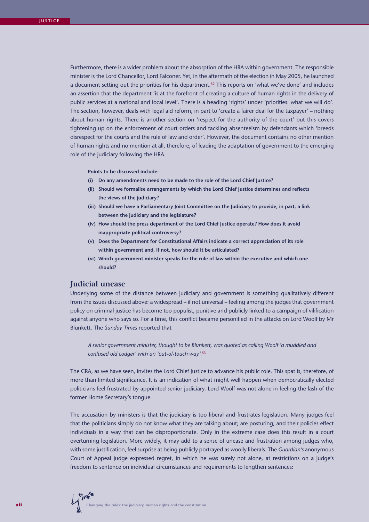Furthermore, there is a wider problem about the absorption of the HRA within government. The responsible minister is the Lord Chancellor, Lord Falconer. Yet, in the aftermath of the election in May 2005, he launched a document setting out the priorities for his department.<sup>52</sup> This reports on 'what we've done' and includes an assertion that the department 'is at the forefront of creating a culture of human rights in the delivery of public services at a national and local level'. There is a heading 'rights' under 'priorities: what we will do'. The section, however, deals with legal aid reform, in part to 'create a fairer deal for the taxpayer' – nothing about human rights. There is another section on 'respect for the authority of the court' but this covers tightening up on the enforcement of court orders and tackling absenteeism by defendants which 'breeds disrespect for the courts and the rule of law and order'. However, the document contains no other mention of human rights and no mention at all, therefore, of leading the adaptation of government to the emerging role of the judiciary following the HRA.

**Points to be discussed include:**

- **(i) Do any amendments need to be made to the role of the Lord Chief Justice?**
- **(ii) Should we formalise arrangements by which the Lord Chief Justice determines and reflects the views of the judiciary?**
- **(iii) Should we have a Parliamentary Joint Committee on the Judiciary to provide, in part, a link between the judiciary and the legislature?**
- **(iv) How should the press department of the Lord Chief Justice operate? How does it avoid inappropriate political controversy?**
- **(v) Does the Department for Constitutional Affairs indicate a correct appreciation of its role within government and, if not, how should it be articulated?**
- **(vi) Which government minister speaks for the rule of law within the executive and which one should?**

## **Judicial unease**

Underlying some of the distance between judiciary and government is something qualitatively different from the issues discussed above: a widespread – if not universal – feeling among the judges that government policy on criminal justice has become too populist, punitive and publicly linked to a campaign of vilification against anyone who says so. For a time, this conflict became personified in the attacks on Lord Woolf by Mr Blunkett. The *Sunday Times* reported that

*A senior government minister, thought to be Blunkett, was quoted as calling Woolf 'a muddled and confused old codger' with an 'out-of-touch way'.*<sup>53</sup>

The CRA, as we have seen, invites the Lord Chief Justice to advance his public role. This spat is, therefore, of more than limited significance. It is an indication of what might well happen when democratically elected politicians feel frustrated by appointed senior judiciary. Lord Woolf was not alone in feeling the lash of the former Home Secretary's tongue.

The accusation by ministers is that the judiciary is too liberal and frustrates legislation. Many judges feel that the politicians simply do not know what they are talking about; are posturing; and their policies effect individuals in a way that can be disproportionate. Only in the extreme case does this result in a court overturning legislation. More widely, it may add to a sense of unease and frustration among judges who, with some justification, feel surprise at being publicly portrayed as woolly liberals. The *Guardian's* anonymous Court of Appeal judge expressed regret, in which he was surely not alone, at restrictions on a judge's freedom to sentence on individual circumstances and requirements to lengthen sentences: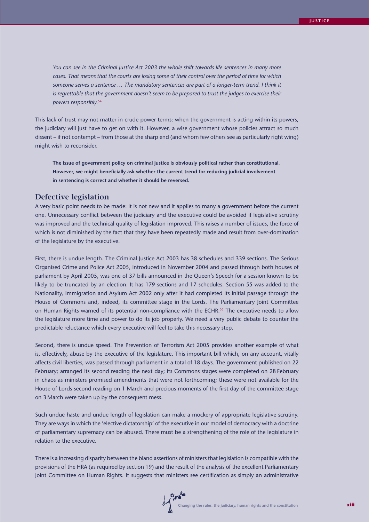*You can see in the Criminal Justice Act 2003 the whole shift towards life sentences in many more cases. That means that the courts are losing some of their control over the period of time for which*  someone serves a sentence ... The mandatory sentences are part of a longer-term trend. I think it *is regrettable that the government doesn't seem to be prepared to trust the judges to exercise their powers responsibly.*<sup>54</sup>

This lack of trust may not matter in crude power terms: when the government is acting within its powers, the judiciary will just have to get on with it. However, a wise government whose policies attract so much dissent – if not contempt – from those at the sharp end (and whom few others see as particularly right wing) might wish to reconsider.

**The issue of government policy on criminal justice is obviously political rather than constitutional. However, we might beneficially ask whether the current trend for reducing judicial involvement in sentencing is correct and whether it should be reversed.**

#### **Defective legislation**

A very basic point needs to be made: it is not new and it applies to many a government before the current one. Unnecessary conflict between the judiciary and the executive could be avoided if legislative scrutiny was improved and the technical quality of legislation improved. This raises a number of issues, the force of which is not diminished by the fact that they have been repeatedly made and result from over-domination of the legislature by the executive.

First, there is undue length. The Criminal Justice Act 2003 has 38 schedules and 339 sections. The Serious Organised Crime and Police Act 2005, introduced in November 2004 and passed through both houses of parliament by April 2005, was one of 37 bills announced in the Queen's Speech for a session known to be likely to be truncated by an election. It has 179 sections and 17 schedules. Section 55 was added to the Nationality, Immigration and Asylum Act 2002 only after it had completed its initial passage through the House of Commons and, indeed, its committee stage in the Lords. The Parliamentary Joint Committee on Human Rights warned of its potential non-compliance with the ECHR.<sup>55</sup> The executive needs to allow the legislature more time and power to do its job properly. We need a very public debate to counter the predictable reluctance which every executive will feel to take this necessary step.

Second, there is undue speed. The Prevention of Terrorism Act 2005 provides another example of what is, effectively, abuse by the executive of the legislature. This important bill which, on any account, vitally affects civil liberties, was passed through parliament in a total of 18 days. The government published on 22 February; arranged its second reading the next day; its Commons stages were completed on 28 February in chaos as ministers promised amendments that were not forthcoming; these were not available for the House of Lords second reading on 1 March and precious moments of the first day of the committee stage on 3 March were taken up by the consequent mess.

Such undue haste and undue length of legislation can make a mockery of appropriate legislative scrutiny. They are ways in which the 'elective dictatorship' of the executive in our model of democracy with a doctrine of parliamentary supremacy can be abused. There must be a strengthening of the role of the legislature in relation to the executive.

There is a increasing disparity between the bland assertions of ministers that legislation is compatible with the provisions of the HRA (as required by section 19) and the result of the analysis of the excellent Parliamentary Joint Committee on Human Rights. It suggests that ministers see certification as simply an administrative

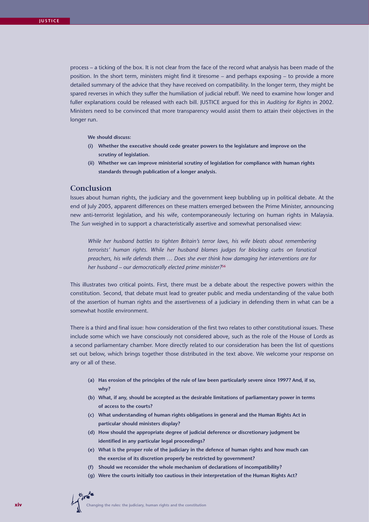process – a ticking of the box. It is not clear from the face of the record what analysis has been made of the position. In the short term, ministers might find it tiresome – and perhaps exposing – to provide a more detailed summary of the advice that they have received on compatibility. In the longer term, they might be spared reverses in which they suffer the humiliation of judicial rebuff. We need to examine how longer and fuller explanations could be released with each bill. JUSTICE argued for this in *Auditing for Rights* in 2002. Ministers need to be convinced that more transparency would assist them to attain their objectives in the longer run.

**We should discuss:**

- **(i) Whether the executive should cede greater powers to the legislature and improve on the scrutiny of legislation.**
- **(ii) Whether we can improve ministerial scrutiny of legislation for compliance with human rights standards through publication of a longer analysis.**

## **Conclusion**

Issues about human rights, the judiciary and the government keep bubbling up in political debate. At the end of July 2005, apparent differences on these matters emerged between the Prime Minister, announcing new anti-terrorist legislation, and his wife, contemporaneously lecturing on human rights in Malaysia. The *Sun* weighed in to support a characteristically assertive and somewhat personalised view:

*While her husband battles to tighten Britain's terror laws, his wife bleats about remembering terrorists' human rights. While her husband blames judges for blocking curbs on fanatical preachers, his wife defends them … Does she ever think how damaging her interventions are for her husband – our democratically elected prime minister?*<sup>56</sup>

This illustrates two critical points. First, there must be a debate about the respective powers within the constitution. Second, that debate must lead to greater public and media understanding of the value both of the assertion of human rights and the assertiveness of a judiciary in defending them in what can be a somewhat hostile environment.

There is a third and final issue: how consideration of the first two relates to other constitutional issues. These include some which we have consciously not considered above, such as the role of the House of Lords as a second parliamentary chamber. More directly related to our consideration has been the list of questions set out below, which brings together those distributed in the text above. We welcome your response on any or all of these.

- **(a) Has erosion of the principles of the rule of law been particularly severe since 1997? And, if so, why?**
- **(b) What, if any, should be accepted as the desirable limitations of parliamentary power in terms of access to the courts?**
- **(c) What understanding of human rights obligations in general and the Human Rights Act in particular should ministers display?**
- **(d) How should the appropriate degree of judicial deference or discretionary judgment be identified in any particular legal proceedings?**
- **(e) What is the proper role of the judiciary in the defence of human rights and how much can the exercise of its discretion properly be restricted by government?**
- **(f) Should we reconsider the whole mechanism of declarations of incompatibility?**
- **(g) Were the courts initially too cautious in their interpretation of the Human Rights Act?**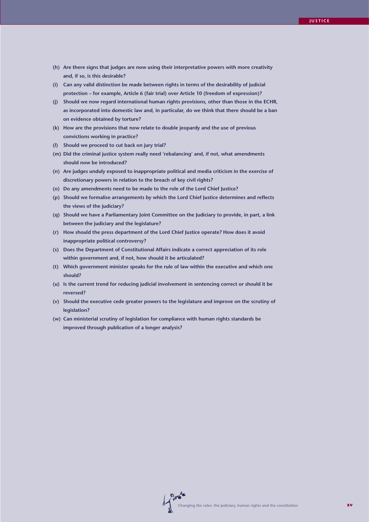- **(h) Are there signs that judges are now using their interpretative powers with more creativity and, if so, is this desirable?**
- **(i) Can any valid distinction be made between rights in terms of the desirability of judicial protection – for example, Article 6 (fair trial) over Article 10 (freedom of expression)?**
- **(j) Should we now regard international human rights provisions, other than those in the ECHR, as incorporated into domestic law and, in particular, do we think that there should be a ban on evidence obtained by torture?**
- **(k) How are the provisions that now relate to double jeopardy and the use of previous convictions working in practice?**
- **(l) Should we proceed to cut back on jury trial?**
- **(m) Did the criminal justice system really need 'rebalancing' and, if not, what amendments should now be introduced?**
- **(n) Are judges unduly exposed to inappropriate political and media criticism in the exercise of discretionary powers in relation to the breach of key civil rights?**
- **(o) Do any amendments need to be made to the role of the Lord Chief Justice?**
- **(p) Should we formalise arrangements by which the Lord Chief Justice determines and reflects the views of the judiciary?**
- **(q) Should we have a Parliamentary Joint Committee on the Judiciary to provide, in part, a link between the judiciary and the legislature?**
- **(r) How should the press department of the Lord Chief Justice operate? How does it avoid inappropriate political controversy?**
- **(s) Does the Department of Constitutional Affairs indicate a correct appreciation of its role within government and, if not, how should it be articulated?**
- **(t) Which government minister speaks for the rule of law within the executive and which one should?**
- **(u) Is the current trend for reducing judicial involvement in sentencing correct or should it be reversed?**
- **(v) Should the executive cede greater powers to the legislature and improve on the scrutiny of legislation?**
- **(w) Can ministerial scrutiny of legislation for compliance with human rights standards be improved through publication of a longer analysis?**